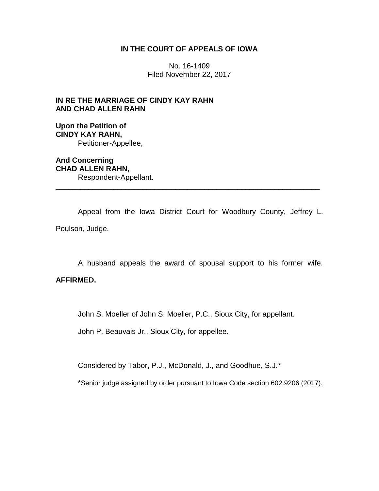## **IN THE COURT OF APPEALS OF IOWA**

No. 16-1409 Filed November 22, 2017

# **IN RE THE MARRIAGE OF CINDY KAY RAHN AND CHAD ALLEN RAHN**

**Upon the Petition of CINDY KAY RAHN,** Petitioner-Appellee,

**And Concerning CHAD ALLEN RAHN,** Respondent-Appellant.

Appeal from the Iowa District Court for Woodbury County, Jeffrey L. Poulson, Judge.

\_\_\_\_\_\_\_\_\_\_\_\_\_\_\_\_\_\_\_\_\_\_\_\_\_\_\_\_\_\_\_\_\_\_\_\_\_\_\_\_\_\_\_\_\_\_\_\_\_\_\_\_\_\_\_\_\_\_\_\_\_\_\_\_

A husband appeals the award of spousal support to his former wife.

# **AFFIRMED.**

John S. Moeller of John S. Moeller, P.C., Sioux City, for appellant.

John P. Beauvais Jr., Sioux City, for appellee.

Considered by Tabor, P.J., McDonald, J., and Goodhue, S.J.\*

\*Senior judge assigned by order pursuant to Iowa Code section 602.9206 (2017).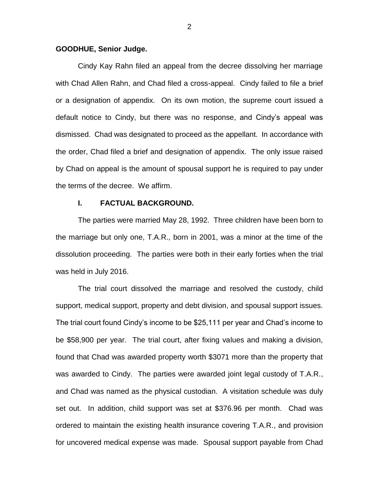## **GOODHUE, Senior Judge.**

Cindy Kay Rahn filed an appeal from the decree dissolving her marriage with Chad Allen Rahn, and Chad filed a cross-appeal. Cindy failed to file a brief or a designation of appendix. On its own motion, the supreme court issued a default notice to Cindy, but there was no response, and Cindy's appeal was dismissed. Chad was designated to proceed as the appellant. In accordance with the order, Chad filed a brief and designation of appendix. The only issue raised by Chad on appeal is the amount of spousal support he is required to pay under the terms of the decree. We affirm.

## **I. FACTUAL BACKGROUND.**

The parties were married May 28, 1992. Three children have been born to the marriage but only one, T.A.R., born in 2001, was a minor at the time of the dissolution proceeding. The parties were both in their early forties when the trial was held in July 2016.

The trial court dissolved the marriage and resolved the custody, child support, medical support, property and debt division, and spousal support issues. The trial court found Cindy's income to be \$25,111 per year and Chad's income to be \$58,900 per year. The trial court, after fixing values and making a division, found that Chad was awarded property worth \$3071 more than the property that was awarded to Cindy. The parties were awarded joint legal custody of T.A.R., and Chad was named as the physical custodian. A visitation schedule was duly set out. In addition, child support was set at \$376.96 per month. Chad was ordered to maintain the existing health insurance covering T.A.R., and provision for uncovered medical expense was made. Spousal support payable from Chad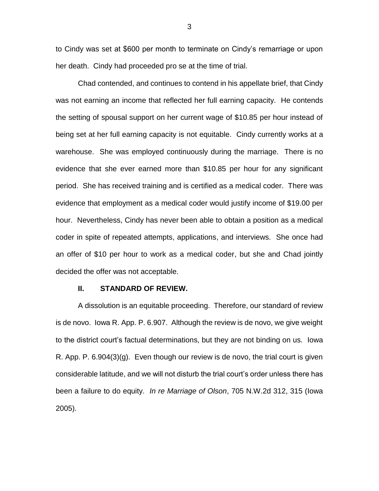to Cindy was set at \$600 per month to terminate on Cindy's remarriage or upon her death. Cindy had proceeded pro se at the time of trial.

Chad contended, and continues to contend in his appellate brief, that Cindy was not earning an income that reflected her full earning capacity. He contends the setting of spousal support on her current wage of \$10.85 per hour instead of being set at her full earning capacity is not equitable. Cindy currently works at a warehouse. She was employed continuously during the marriage. There is no evidence that she ever earned more than \$10.85 per hour for any significant period. She has received training and is certified as a medical coder. There was evidence that employment as a medical coder would justify income of \$19.00 per hour. Nevertheless, Cindy has never been able to obtain a position as a medical coder in spite of repeated attempts, applications, and interviews. She once had an offer of \$10 per hour to work as a medical coder, but she and Chad jointly decided the offer was not acceptable.

#### **II. STANDARD OF REVIEW.**

A dissolution is an equitable proceeding. Therefore, our standard of review is de novo. Iowa R. App. P. 6.907. Although the review is de novo, we give weight to the district court's factual determinations, but they are not binding on us. Iowa R. App. P.  $6.904(3)(g)$ . Even though our review is de novo, the trial court is given considerable latitude, and we will not disturb the trial court's order unless there has been a failure to do equity. *In re Marriage of Olson*, 705 N.W.2d 312, 315 (Iowa 2005).

3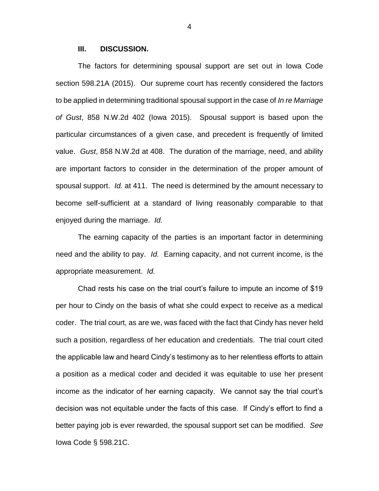### **III. DISCUSSION.**

The factors for determining spousal support are set out in Iowa Code section 598.21A (2015). Our supreme court has recently considered the factors to be applied in determining traditional spousal support in the case of *In re Marriage of Gust*, 858 N.W.2d 402 (Iowa 2015). Spousal support is based upon the particular circumstances of a given case, and precedent is frequently of limited value. *Gust*, 858 N.W.2d at 408. The duration of the marriage, need, and ability are important factors to consider in the determination of the proper amount of spousal support. *Id.* at 411. The need is determined by the amount necessary to become self-sufficient at a standard of living reasonably comparable to that enjoyed during the marriage. *Id.*

The earning capacity of the parties is an important factor in determining need and the ability to pay. *Id.* Earning capacity, and not current income, is the appropriate measurement. *Id.*

Chad rests his case on the trial court's failure to impute an income of \$19 per hour to Cindy on the basis of what she could expect to receive as a medical coder. The trial court, as are we, was faced with the fact that Cindy has never held such a position, regardless of her education and credentials. The trial court cited the applicable law and heard Cindy's testimony as to her relentless efforts to attain a position as a medical coder and decided it was equitable to use her present income as the indicator of her earning capacity. We cannot say the trial court's decision was not equitable under the facts of this case. If Cindy's effort to find a better paying job is ever rewarded, the spousal support set can be modified. *See* Iowa Code § 598.21C.

4